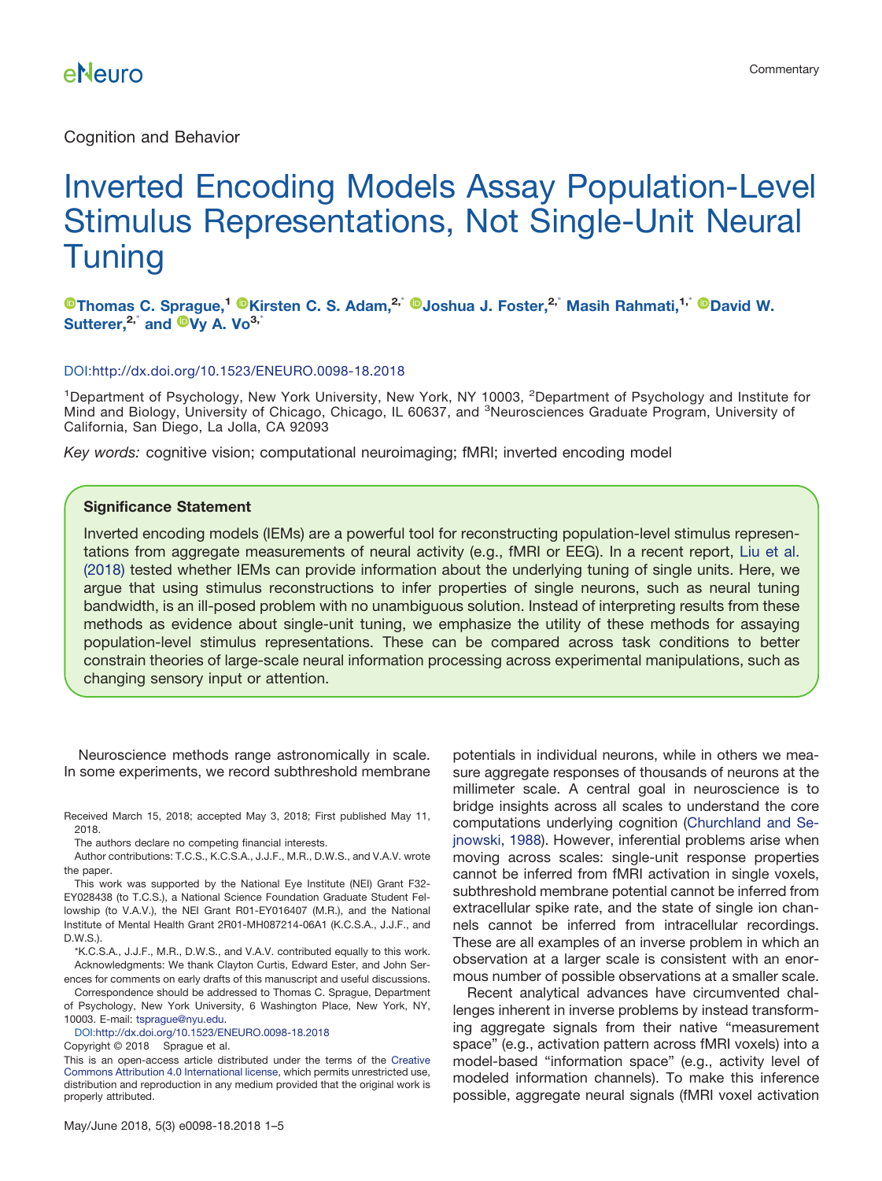# Inverted Encoding Models Assay Population-Level Stimulus Representations, Not Single-Unit Neural Tuning

#### **[Thomas C. Sprague,](http://orcid.org/0000-0001-9530-2463)<sup>1</sup> [Kirsten C. S. Adam,](http://orcid.org/0000-0002-4950-327X)2,**- **[Joshua J. Foster,](http://orcid.org/0000-0001-7034-9636)2,**- **Masih Rahmati,1,**- **[David W.](http://orcid.org/0000-0001-7977-6861) [Sutterer,](http://orcid.org/0000-0001-7977-6861)2,**- **and [Vy A. Vo](http://orcid.org/0000-0001-9601-1297)3,**-

#### DOI[:http://dx.doi.org/10.1523/ENEURO.0098-18.2018](http://dx.doi.org/10.1523/ENEURO.0098-18.2018)

<sup>1</sup>Department of Psychology, New York University, New York, NY 10003, <sup>2</sup>Department of Psychology and Institute for Mind and Biology, University of Chicago, Chicago, IL 60637, and <sup>3</sup>Neurosciences Graduate Program, University of California, San Diego, La Jolla, CA 92093

*Key words:* cognitive vision; computational neuroimaging; fMRI; inverted encoding model

#### **Significance Statement**

Inverted encoding models (IEMs) are a powerful tool for reconstructing population-level stimulus representations from aggregate measurements of neural activity (e.g., fMRI or EEG). In a recent report, [Liu et al.](#page-3-1) [\(2018\)](#page-3-1) tested whether IEMs can provide information about the underlying tuning of single units. Here, we argue that using stimulus reconstructions to infer properties of single neurons, such as neural tuning bandwidth, is an ill-posed problem with no unambiguous solution. Instead of interpreting results from these methods as evidence about single-unit tuning, we emphasize the utility of these methods for assaying population-level stimulus representations. These can be compared across task conditions to better constrain theories of large-scale neural information processing across experimental manipulations, such as changing sensory input or attention.

Neuroscience methods range astronomically in scale. In some experiments, we record subthreshold membrane

Received March 15, 2018; accepted May 3, 2018; First published May 11, 2018.

The authors declare no competing financial interests.

Author contributions: T.C.S., K.C.S.A., J.J.F., M.R., D.W.S., and V.A.V. wrote the paper.

This work was supported by the National Eye Institute (NEI) Grant F32- EY028438 (to T.C.S.), a National Science Foundation Graduate Student Fellowship (to V.A.V.), the NEI Grant R01-EY016407 (M.R.), and the National Institute of Mental Health Grant 2R01-MH087214-06A1 (K.C.S.A., J.J.F., and D.W.S.).

\*K.C.S.A., J.J.F., M.R., D.W.S., and V.A.V. contributed equally to this work. Acknowledgments: We thank Clayton Curtis, Edward Ester, and John Serences for comments on early drafts of this manuscript and useful discussions.

Correspondence should be addressed to Thomas C. Sprague, Department of Psychology, New York University, 6 Washington Place, New York, NY,

10003. E-mail: [tsprague@nyu.edu.](mailto:tsprague@nyu.edu)

DOI[:http://dx.doi.org/10.1523/ENEURO.0098-18.2018](http://dx.doi.org/10.1523/ENEURO.0098-18.2018)

Copyright © 2018 Sprague et al.

This is an open-access article distributed under the terms of the [Creative](http://creativecommons.org/licenses/by/4.0/) [Commons Attribution 4.0 International license,](http://creativecommons.org/licenses/by/4.0/) which permits unrestricted use, distribution and reproduction in any medium provided that the original work is properly attributed.

sure aggregate responses of thousands of neurons at the millimeter scale. A central goal in neuroscience is to bridge insights across all scales to understand the core computations underlying cognition [\(Churchland and Se](#page-3-0)[jnowski, 1988\)](#page-3-0). However, inferential problems arise when moving across scales: single-unit response properties cannot be inferred from fMRI activation in single voxels, subthreshold membrane potential cannot be inferred from extracellular spike rate, and the state of single ion channels cannot be inferred from intracellular recordings. These are all examples of an inverse problem in which an observation at a larger scale is consistent with an enormous number of possible observations at a smaller scale.

potentials in individual neurons, while in others we mea-

Recent analytical advances have circumvented challenges inherent in inverse problems by instead transforming aggregate signals from their native "measurement space" (e.g., activation pattern across fMRI voxels) into a model-based "information space" (e.g., activity level of modeled information channels). To make this inference possible, aggregate neural signals (fMRI voxel activation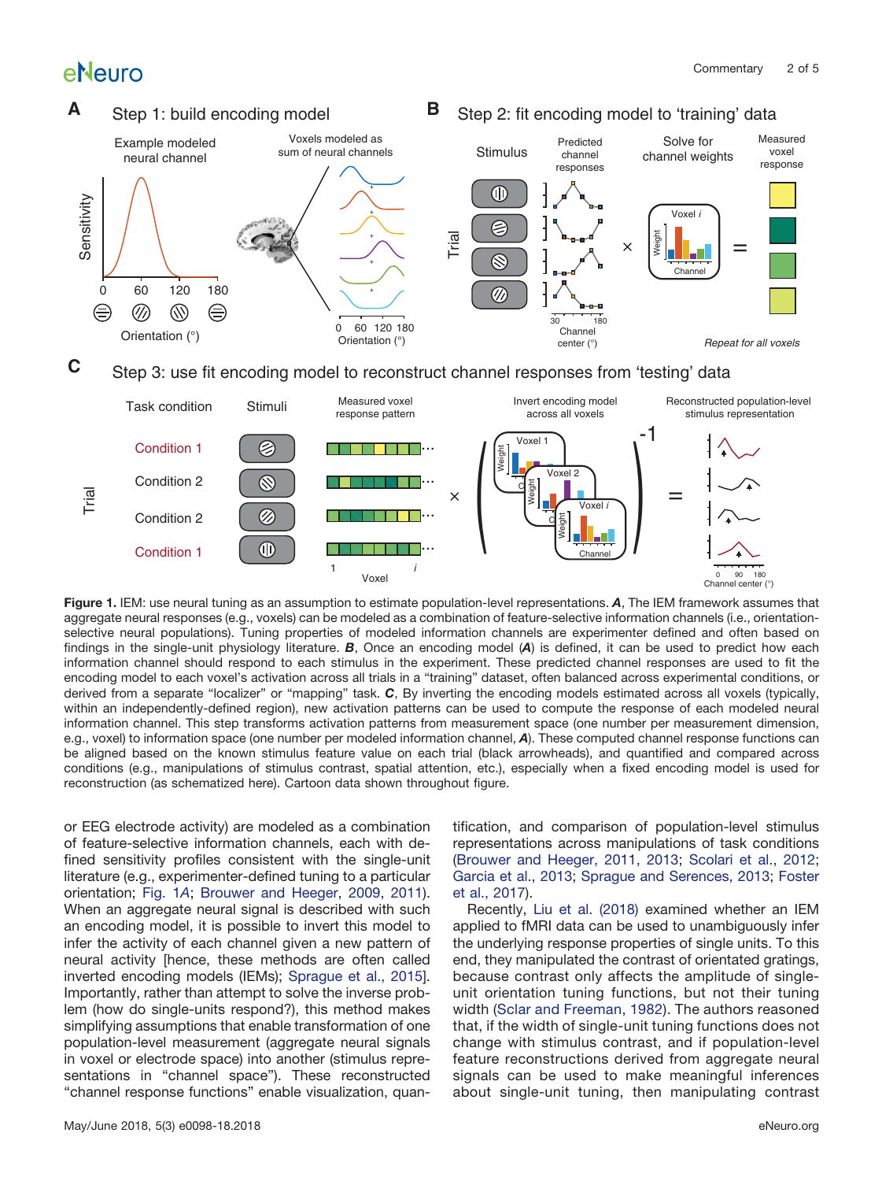

<span id="page-1-0"></span>**Figure 1.** IEM: use neural tuning as an assumption to estimate population-level representations. *A*, The IEM framework assumes that aggregate neural responses (e.g., voxels) can be modeled as a combination of feature-selective information channels (i.e., orientationselective neural populations). Tuning properties of modeled information channels are experimenter defined and often based on findings in the single-unit physiology literature. *B*, Once an encoding model (*A*) is defined, it can be used to predict how each information channel should respond to each stimulus in the experiment. These predicted channel responses are used to fit the encoding model to each voxel's activation across all trials in a "training" dataset, often balanced across experimental conditions, or derived from a separate "localizer" or "mapping" task. *C*, By inverting the encoding models estimated across all voxels (typically, within an independently-defined region), new activation patterns can be used to compute the response of each modeled neural information channel. This step transforms activation patterns from measurement space (one number per measurement dimension, e.g., voxel) to information space (one number per modeled information channel, *A*). These computed channel response functions can be aligned based on the known stimulus feature value on each trial (black arrowheads), and quantified and compared across conditions (e.g., manipulations of stimulus contrast, spatial attention, etc.), especially when a fixed encoding model is used for reconstruction (as schematized here). Cartoon data shown throughout figure.

or EEG electrode activity) are modeled as a combination of feature-selective information channels, each with defined sensitivity profiles consistent with the single-unit literature (e.g., experimenter-defined tuning to a particular orientation; [Fig. 1](#page-1-0)*A*; [Brouwer and Heeger, 2009, 2011\)](#page-3-2). When an aggregate neural signal is described with such an encoding model, it is possible to invert this model to infer the activity of each channel given a new pattern of neural activity [hence, these methods are often called inverted encoding models (IEMs); [Sprague et al., 2015\]](#page-4-0). Importantly, rather than attempt to solve the inverse problem (how do single-units respond?), this method makes simplifying assumptions that enable transformation of one population-level measurement (aggregate neural signals in voxel or electrode space) into another (stimulus representations in "channel space"). These reconstructed "channel response functions" enable visualization, quantification, and comparison of population-level stimulus representations across manipulations of task conditions [\(Brouwer and Heeger, 2011, 2013;](#page-3-3) [Scolari et al., 2012;](#page-3-4) [Garcia et al., 2013;](#page-3-5) [Sprague and Serences, 2013;](#page-3-6) [Foster](#page-3-7) [et al., 2017\)](#page-3-7).

Recently, [Liu et al. \(2018\)](#page-3-1) examined whether an IEM applied to fMRI data can be used to unambiguously infer the underlying response properties of single units. To this end, they manipulated the contrast of orientated gratings, because contrast only affects the amplitude of singleunit orientation tuning functions, but not their tuning width [\(Sclar and Freeman, 1982\)](#page-3-8). The authors reasoned that, if the width of single-unit tuning functions does not change with stimulus contrast, and if population-level feature reconstructions derived from aggregate neural signals can be used to make meaningful inferences about single-unit tuning, then manipulating contrast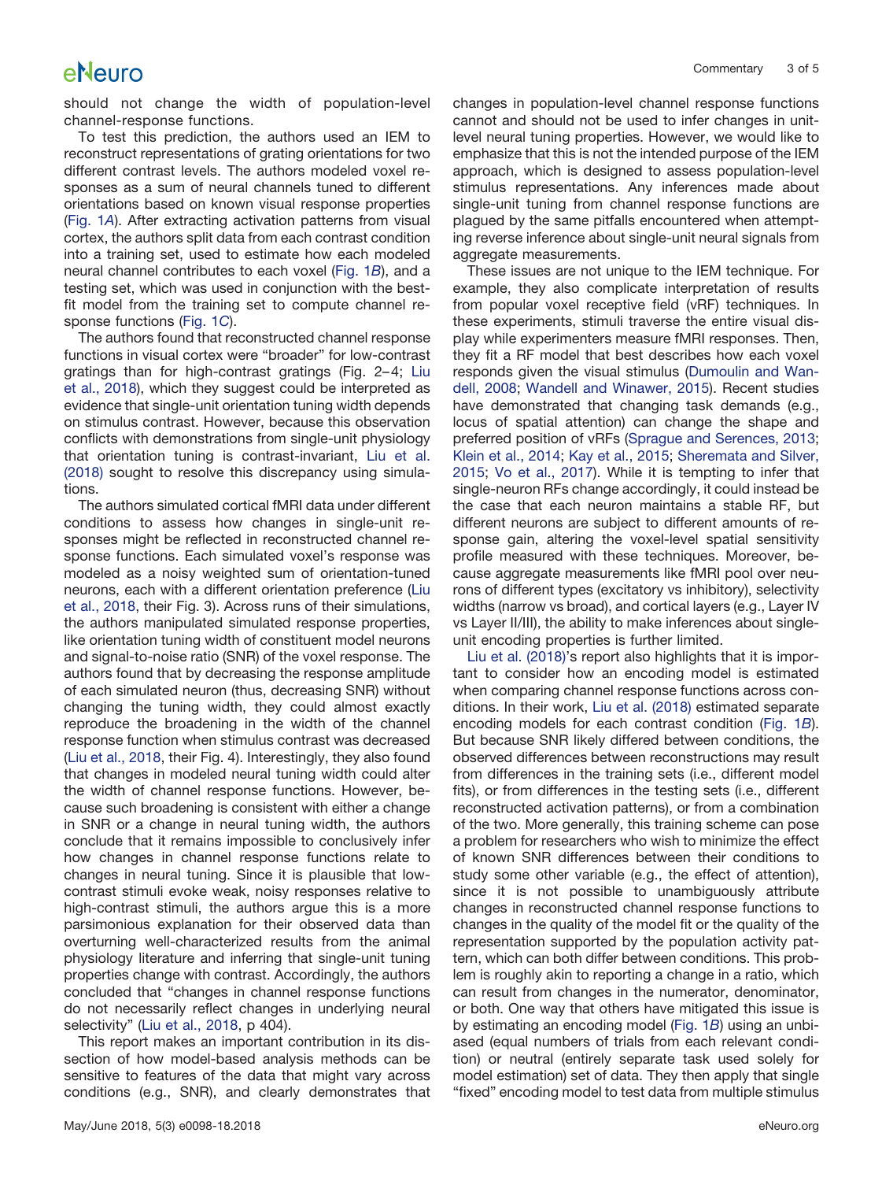should not change the width of population-level channel-response functions.

To test this prediction, the authors used an IEM to reconstruct representations of grating orientations for two different contrast levels. The authors modeled voxel responses as a sum of neural channels tuned to different orientations based on known visual response properties [\(Fig. 1](#page-1-0)*A*). After extracting activation patterns from visual cortex, the authors split data from each contrast condition into a training set, used to estimate how each modeled neural channel contributes to each voxel [\(Fig. 1](#page-1-0)*B*), and a testing set, which was used in conjunction with the bestfit model from the training set to compute channel response functions [\(Fig. 1](#page-1-0)*C*).

The authors found that reconstructed channel response functions in visual cortex were "broader" for low-contrast gratings than for high-contrast gratings (Fig. 2– 4; [Liu](#page-3-1) [et al., 2018\)](#page-3-1), which they suggest could be interpreted as evidence that single-unit orientation tuning width depends on stimulus contrast. However, because this observation conflicts with demonstrations from single-unit physiology that orientation tuning is contrast-invariant, [Liu et al.](#page-3-1) [\(2018\)](#page-3-1) sought to resolve this discrepancy using simulations.

The authors simulated cortical fMRI data under different conditions to assess how changes in single-unit responses might be reflected in reconstructed channel response functions. Each simulated voxel's response was modeled as a noisy weighted sum of orientation-tuned neurons, each with a different orientation preference [\(Liu](#page-3-1) [et al., 2018,](#page-3-1) their Fig. 3). Across runs of their simulations, the authors manipulated simulated response properties, like orientation tuning width of constituent model neurons and signal-to-noise ratio (SNR) of the voxel response. The authors found that by decreasing the response amplitude of each simulated neuron (thus, decreasing SNR) without changing the tuning width, they could almost exactly reproduce the broadening in the width of the channel response function when stimulus contrast was decreased [\(Liu et al., 2018,](#page-3-1) their Fig. 4). Interestingly, they also found that changes in modeled neural tuning width could alter the width of channel response functions. However, because such broadening is consistent with either a change in SNR or a change in neural tuning width, the authors conclude that it remains impossible to conclusively infer how changes in channel response functions relate to changes in neural tuning. Since it is plausible that lowcontrast stimuli evoke weak, noisy responses relative to high-contrast stimuli, the authors argue this is a more parsimonious explanation for their observed data than overturning well-characterized results from the animal physiology literature and inferring that single-unit tuning properties change with contrast. Accordingly, the authors concluded that "changes in channel response functions do not necessarily reflect changes in underlying neural selectivity" [\(Liu et al., 2018,](#page-3-1) p 404).

This report makes an important contribution in its dissection of how model-based analysis methods can be sensitive to features of the data that might vary across conditions (e.g., SNR), and clearly demonstrates that changes in population-level channel response functions cannot and should not be used to infer changes in unitlevel neural tuning properties. However, we would like to emphasize that this is not the intended purpose of the IEM approach, which is designed to assess population-level stimulus representations. Any inferences made about single-unit tuning from channel response functions are plagued by the same pitfalls encountered when attempting reverse inference about single-unit neural signals from aggregate measurements.

These issues are not unique to the IEM technique. For example, they also complicate interpretation of results from popular voxel receptive field (vRF) techniques. In these experiments, stimuli traverse the entire visual display while experimenters measure fMRI responses. Then, they fit a RF model that best describes how each voxel responds given the visual stimulus [\(Dumoulin and Wan](#page-3-9)[dell, 2008;](#page-3-9) [Wandell and Winawer, 2015\)](#page-4-1). Recent studies have demonstrated that changing task demands (e.g., locus of spatial attention) can change the shape and preferred position of vRFs [\(Sprague and Serences, 2013;](#page-3-6) [Klein et al., 2014;](#page-3-10) [Kay et al., 2015;](#page-3-11) [Sheremata and Silver,](#page-3-12) [2015;](#page-3-12) [Vo et al., 2017\)](#page-4-2). While it is tempting to infer that single-neuron RFs change accordingly, it could instead be the case that each neuron maintains a stable RF, but different neurons are subject to different amounts of response gain, altering the voxel-level spatial sensitivity profile measured with these techniques. Moreover, because aggregate measurements like fMRI pool over neurons of different types (excitatory vs inhibitory), selectivity widths (narrow vs broad), and cortical layers (e.g., Layer IV vs Layer II/III), the ability to make inferences about singleunit encoding properties is further limited.

[Liu et al. \(2018\)'](#page-3-1)s report also highlights that it is important to consider how an encoding model is estimated when comparing channel response functions across conditions. In their work, [Liu et al. \(2018\)](#page-3-1) estimated separate encoding models for each contrast condition [\(Fig. 1](#page-1-0)*B*). But because SNR likely differed between conditions, the observed differences between reconstructions may result from differences in the training sets (i.e., different model fits), or from differences in the testing sets (i.e., different reconstructed activation patterns), or from a combination of the two. More generally, this training scheme can pose a problem for researchers who wish to minimize the effect of known SNR differences between their conditions to study some other variable (e.g., the effect of attention), since it is not possible to unambiguously attribute changes in reconstructed channel response functions to changes in the quality of the model fit or the quality of the representation supported by the population activity pattern, which can both differ between conditions. This problem is roughly akin to reporting a change in a ratio, which can result from changes in the numerator, denominator, or both. One way that others have mitigated this issue is by estimating an encoding model [\(Fig. 1](#page-1-0)*B*) using an unbiased (equal numbers of trials from each relevant condition) or neutral (entirely separate task used solely for model estimation) set of data. They then apply that single "fixed" encoding model to test data from multiple stimulus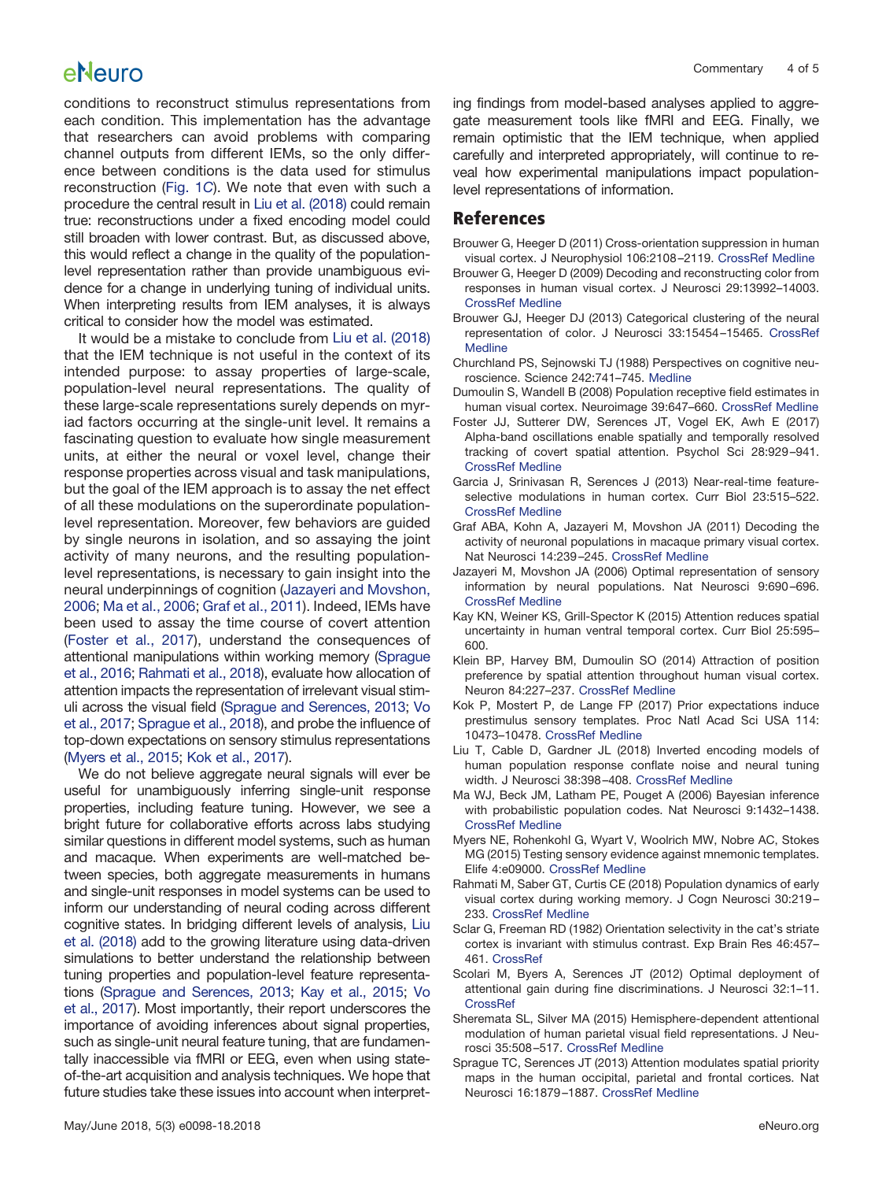conditions to reconstruct stimulus representations from each condition. This implementation has the advantage that researchers can avoid problems with comparing channel outputs from different IEMs, so the only difference between conditions is the data used for stimulus reconstruction [\(Fig. 1](#page-1-0)*C*). We note that even with such a procedure the central result in [Liu et al. \(2018\)](#page-3-1) could remain true: reconstructions under a fixed encoding model could still broaden with lower contrast. But, as discussed above, this would reflect a change in the quality of the populationlevel representation rather than provide unambiguous evidence for a change in underlying tuning of individual units. When interpreting results from IEM analyses, it is always critical to consider how the model was estimated.

It would be a mistake to conclude from [Liu et al. \(2018\)](#page-3-1) that the IEM technique is not useful in the context of its intended purpose: to assay properties of large-scale, population-level neural representations. The quality of these large-scale representations surely depends on myriad factors occurring at the single-unit level. It remains a fascinating question to evaluate how single measurement units, at either the neural or voxel level, change their response properties across visual and task manipulations, but the goal of the IEM approach is to assay the net effect of all these modulations on the superordinate populationlevel representation. Moreover, few behaviors are guided by single neurons in isolation, and so assaying the joint activity of many neurons, and the resulting populationlevel representations, is necessary to gain insight into the neural underpinnings of cognition [\(Jazayeri and Movshon,](#page-3-13) [2006;](#page-3-13) [Ma et al., 2006;](#page-3-14) [Graf et al., 2011\)](#page-3-15). Indeed, IEMs have been used to assay the time course of covert attention [\(Foster et al., 2017\)](#page-3-7), understand the consequences of attentional manipulations within working memory [\(Sprague](#page-4-3) [et al., 2016;](#page-4-3) [Rahmati et al., 2018\)](#page-3-16), evaluate how allocation of attention impacts the representation of irrelevant visual stimuli across the visual field [\(Sprague and Serences, 2013;](#page-3-6) [Vo](#page-4-2) [et al., 2017;](#page-4-2) [Sprague et al., 2018\)](#page-4-4), and probe the influence of top-down expectations on sensory stimulus representations [\(Myers et al., 2015;](#page-3-17) [Kok et al., 2017\)](#page-3-18).

We do not believe aggregate neural signals will ever be useful for unambiguously inferring single-unit response properties, including feature tuning. However, we see a bright future for collaborative efforts across labs studying similar questions in different model systems, such as human and macaque. When experiments are well-matched between species, both aggregate measurements in humans and single-unit responses in model systems can be used to inform our understanding of neural coding across different cognitive states. In bridging different levels of analysis, [Liu](#page-3-1) [et al. \(2018\)](#page-3-1) add to the growing literature using data-driven simulations to better understand the relationship between tuning properties and population-level feature representations [\(Sprague and Serences, 2013;](#page-3-6) [Kay et al., 2015;](#page-3-11) [Vo](#page-4-2) [et al., 2017\)](#page-4-2). Most importantly, their report underscores the importance of avoiding inferences about signal properties, such as single-unit neural feature tuning, that are fundamentally inaccessible via fMRI or EEG, even when using stateof-the-art acquisition and analysis techniques. We hope that future studies take these issues into account when interpreting findings from model-based analyses applied to aggregate measurement tools like fMRI and EEG. Finally, we remain optimistic that the IEM technique, when applied carefully and interpreted appropriately, will continue to reveal how experimental manipulations impact populationlevel representations of information.

#### **References**

- <span id="page-3-2"></span>Brouwer G, Heeger D (2011) Cross-orientation suppression in human visual cortex. J Neurophysiol 106:2108 –2119. [CrossRef](http://dx.doi.org/10.1152/jn.00540.2011) [Medline](http://www.ncbi.nlm.nih.gov/pubmed/21775720)
- Brouwer G, Heeger D (2009) Decoding and reconstructing color from responses in human visual cortex. J Neurosci 29:13992–14003. [CrossRef](http://dx.doi.org/10.1523/JNEUROSCI.3577-09.2009) [Medline](http://www.ncbi.nlm.nih.gov/pubmed/19890009)
- <span id="page-3-3"></span>Brouwer GJ, Heeger DJ (2013) Categorical clustering of the neural representation of color. J Neurosci 33:15454 –15465. [CrossRef](http://dx.doi.org/10.1523/JNEUROSCI.2472-13.2013) **[Medline](http://www.ncbi.nlm.nih.gov/pubmed/24068814)**
- <span id="page-3-0"></span>Churchland PS, Sejnowski TJ (1988) Perspectives on cognitive neuroscience. Science 242:741–745. [Medline](http://www.ncbi.nlm.nih.gov/pubmed/3055294)
- <span id="page-3-9"></span>Dumoulin S, Wandell B (2008) Population receptive field estimates in human visual cortex. Neuroimage 39:647–660. [CrossRef](http://dx.doi.org/10.1016/j.neuroimage.2007.09.034) [Medline](http://www.ncbi.nlm.nih.gov/pubmed/17977024)
- <span id="page-3-7"></span>Foster JJ, Sutterer DW, Serences JT, Vogel EK, Awh E (2017) Alpha-band oscillations enable spatially and temporally resolved tracking of covert spatial attention. Psychol Sci 28:929 –941. [CrossRef](http://dx.doi.org/10.1177/0956797617699167) [Medline](http://www.ncbi.nlm.nih.gov/pubmed/28537480)
- <span id="page-3-5"></span>Garcia J, Srinivasan R, Serences J (2013) Near-real-time featureselective modulations in human cortex. Curr Biol 23:515–522. [CrossRef](http://dx.doi.org/10.1016/j.cub.2013.02.013) [Medline](http://www.ncbi.nlm.nih.gov/pubmed/23477721)
- <span id="page-3-15"></span>Graf ABA, Kohn A, Jazayeri M, Movshon JA (2011) Decoding the activity of neuronal populations in macaque primary visual cortex. Nat Neurosci 14:239 –245. [CrossRef](http://dx.doi.org/10.1038/nn.2733) [Medline](http://www.ncbi.nlm.nih.gov/pubmed/21217762)
- <span id="page-3-13"></span>Jazayeri M, Movshon JA (2006) Optimal representation of sensory information by neural populations. Nat Neurosci 9:690 –696. [CrossRef](http://dx.doi.org/10.1038/nn1691) [Medline](http://www.ncbi.nlm.nih.gov/pubmed/16617339)
- <span id="page-3-11"></span>Kay KN, Weiner KS, Grill-Spector K (2015) Attention reduces spatial uncertainty in human ventral temporal cortex. Curr Biol 25:595– 600.
- <span id="page-3-10"></span>Klein BP, Harvey BM, Dumoulin SO (2014) Attraction of position preference by spatial attention throughout human visual cortex. Neuron 84:227–237. [CrossRef](http://dx.doi.org/10.1016/j.neuron.2014.08.047) [Medline](http://www.ncbi.nlm.nih.gov/pubmed/25242220)
- <span id="page-3-18"></span>Kok P, Mostert P, de Lange FP (2017) Prior expectations induce prestimulus sensory templates. Proc Natl Acad Sci USA 114: 10473–10478. [CrossRef](http://dx.doi.org/10.1073/pnas.1705652114) [Medline](http://www.ncbi.nlm.nih.gov/pubmed/28900010)
- <span id="page-3-1"></span>Liu T, Cable D, Gardner JL (2018) Inverted encoding models of human population response conflate noise and neural tuning width. J Neurosci 38:398 –408. [CrossRef](http://dx.doi.org/10.1523/JNEUROSCI.2453-17.2017) [Medline](http://www.ncbi.nlm.nih.gov/pubmed/29167406)
- <span id="page-3-14"></span>Ma WJ, Beck JM, Latham PE, Pouget A (2006) Bayesian inference with probabilistic population codes. Nat Neurosci 9:1432–1438. [CrossRef](http://dx.doi.org/10.1038/nn1790) [Medline](http://www.ncbi.nlm.nih.gov/pubmed/17057707)
- <span id="page-3-17"></span>Myers NE, Rohenkohl G, Wyart V, Woolrich MW, Nobre AC, Stokes MG (2015) Testing sensory evidence against mnemonic templates. Elife 4:e09000. [CrossRef](http://dx.doi.org/10.7554/eLife.09000) [Medline](http://www.ncbi.nlm.nih.gov/pubmed/26653854)
- <span id="page-3-16"></span>Rahmati M, Saber GT, Curtis CE (2018) Population dynamics of early visual cortex during working memory. J Cogn Neurosci 30:219 – 233. [CrossRef](http://dx.doi.org/10.1162/jocn_a_01196) [Medline](http://www.ncbi.nlm.nih.gov/pubmed/28984524)
- <span id="page-3-8"></span>Sclar G, Freeman RD (1982) Orientation selectivity in the cat's striate cortex is invariant with stimulus contrast. Exp Brain Res 46:457– 461. [CrossRef](http://dx.doi.org/10.1007/BF00238641)
- <span id="page-3-4"></span>Scolari M, Byers A, Serences JT (2012) Optimal deployment of attentional gain during fine discriminations. J Neurosci 32:1–11. [CrossRef](http://dx.doi.org/10.1523/JNEUROSCI.5558-11.2012)
- <span id="page-3-12"></span>Sheremata SL, Silver MA (2015) Hemisphere-dependent attentional modulation of human parietal visual field representations. J Neurosci 35:508 –517. [CrossRef](http://dx.doi.org/10.1523/JNEUROSCI.2378-14.2015) [Medline](http://www.ncbi.nlm.nih.gov/pubmed/25589746)
- <span id="page-3-6"></span>Sprague TC, Serences JT (2013) Attention modulates spatial priority maps in the human occipital, parietal and frontal cortices. Nat Neurosci 16:1879 –1887. [CrossRef](http://dx.doi.org/10.1038/nn.3574) [Medline](http://www.ncbi.nlm.nih.gov/pubmed/24212672)